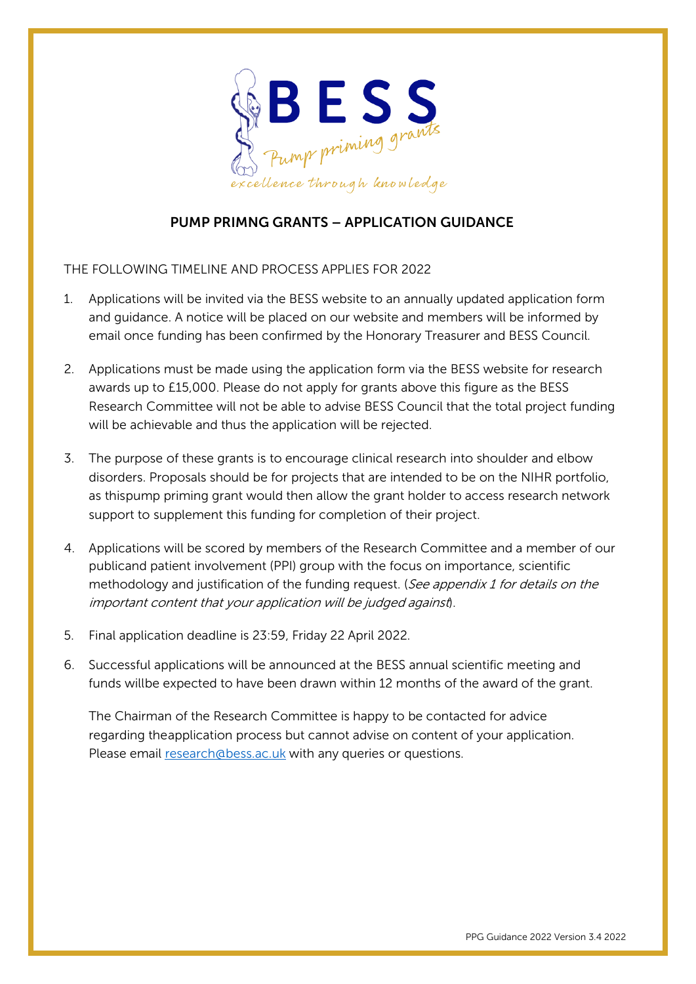

# PUMP PRIMNG GRANTS – APPLICATION GUIDANCE

THE FOLLOWING TIMELINE AND PROCESS APPLIES FOR 2022

- 1. Applications will be invited via the BESS website to an annually updated application form and guidance. A notice will be placed on our website and members will be informed by email once funding has been confirmed by the Honorary Treasurer and BESS Council.
- 2. Applications must be made using the application form via the BESS website for research awards up to £15,000. Please do not apply for grants above this figure as the BESS Research Committee will not be able to advise BESS Council that the total project funding will be achievable and thus the application will be rejected.
- 3. The purpose of these grants is to encourage clinical research into shoulder and elbow disorders. Proposals should be for projects that are intended to be on the NIHR portfolio, as this pump priming grant would then allow the grant holder to access research network support to supplement this funding for completion of their project.
- 4. Applications will be scored by members of the Research Committee and a member of our publicand patient involvement (PPI) group with the focus on importance, scientific methodology and justification of the funding request. (See appendix 1 for details on the important content that your application will be judged against).
- 5. Final application deadline is 23:59, Friday 22 April 2022.
- 6. Successful applications will be announced at the BESS annual scientific meeting and funds will be expected to have been drawn within 12 months of the award of the grant.

The Chairman of the Research Committee is happy to be contacted for advice regarding the application process but cannot advise on content of your application. Please email [research@bess.ac.uk](mailto:research@bess.ac.uk) with any queries or questions.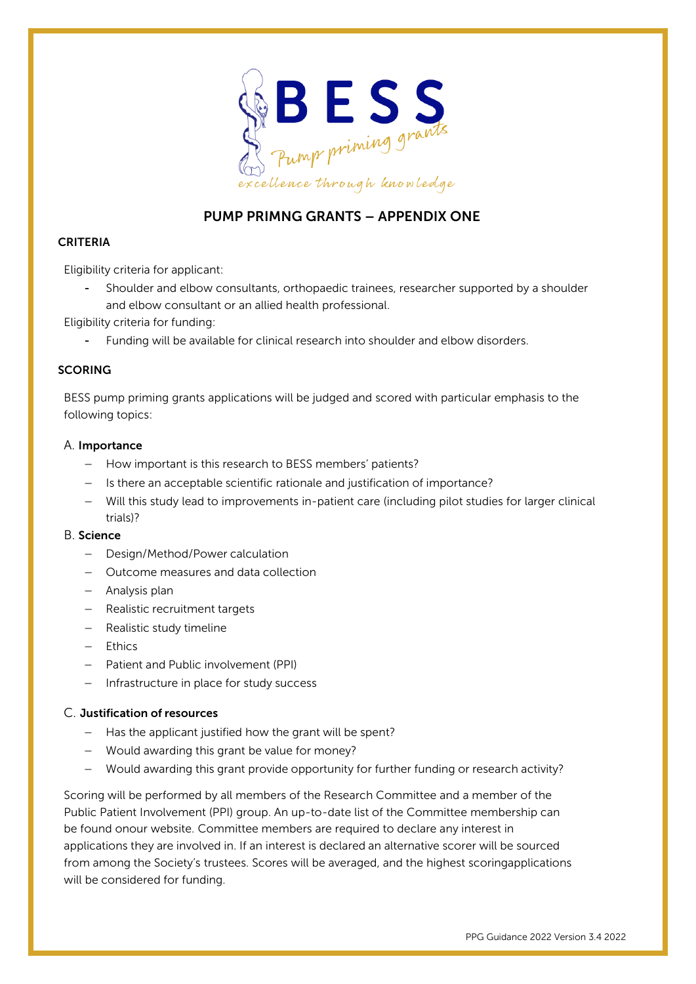

## PUMP PRIMNG GRANTS – APPENDIX ONE

## CRITERIA

Eligibility criteria for applicant:

- Shoulder and elbow consultants, orthopaedic trainees, researcher supported by a shoulder and elbow consultant or an allied health professional.

Eligibility criteria for funding:

Funding will be available for clinical research into shoulder and elbow disorders.

### **SCORING**

BESS pump priming grants applications will be judged and scored with particular emphasis to the following topics:

## A. Importance

- − How important is this research to BESS members' patients?
- − Is there an acceptable scientific rationale and justification of importance?
- − Will this study lead to improvements in-patient care (including pilot studies for larger clinical trials)?

### B. Science

- − Design/Method/Power calculation
- − Outcome measures and data collection
- − Analysis plan
- − Realistic recruitment targets
- − Realistic study timeline
- − Ethics
- − Patient and Public involvement (PPI)
- − Infrastructure in place for study success

### C. Justification of resources

- − Has the applicant justified how the grant will be spent?
- − Would awarding this grant be value for money?
- − Would awarding this grant provide opportunity for further funding or research activity?

Scoring will be performed by all members of the Research Committee and a member of the Public Patient Involvement (PPI) group. An up-to-date list of the Committee membership can be found onour website. Committee members are required to declare any interest in applications they are involved in. If an interest is declared an alternative scorer will be sourced from among the Society's trustees. Scores will be averaged, and the highest scoringapplications will be considered for funding.